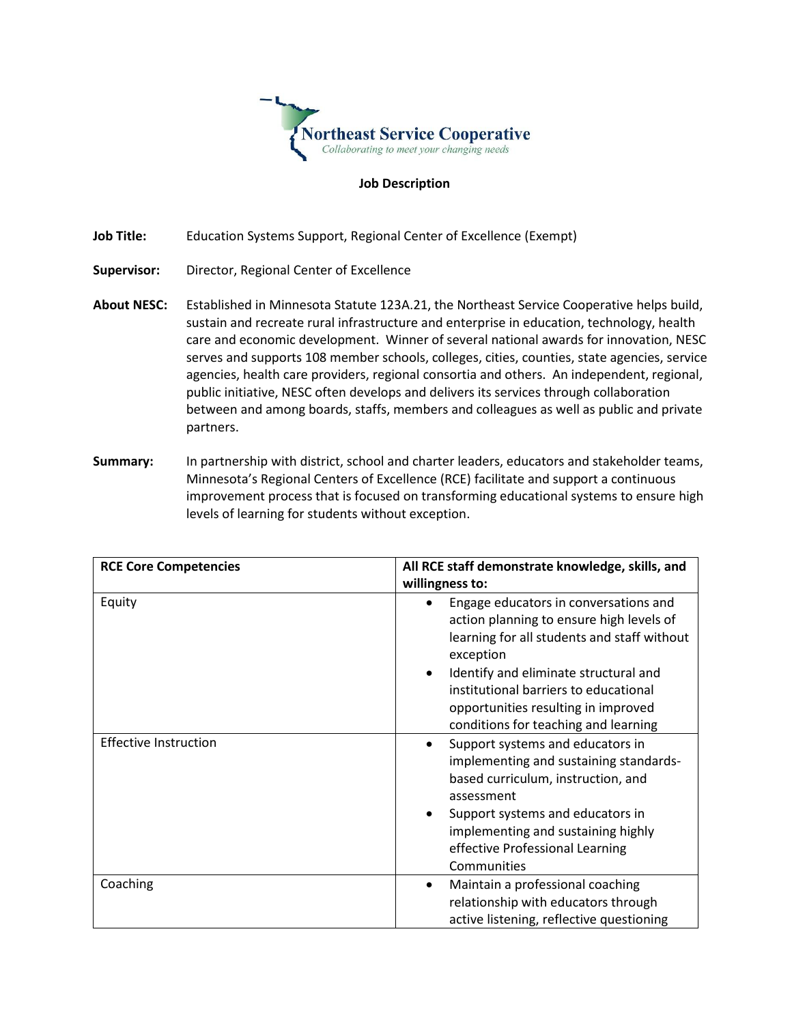

## **Job Description**

**Job Title:** Education Systems Support, Regional Center of Excellence (Exempt)

- **Supervisor:** Director, Regional Center of Excellence
- **About NESC:** Established in Minnesota Statute 123A.21, the Northeast Service Cooperative helps build, sustain and recreate rural infrastructure and enterprise in education, technology, health care and economic development. Winner of several national awards for innovation, NESC serves and supports 108 member schools, colleges, cities, counties, state agencies, service agencies, health care providers, regional consortia and others. An independent, regional, public initiative, NESC often develops and delivers its services through collaboration between and among boards, staffs, members and colleagues as well as public and private partners.
- **Summary:** In partnership with district, school and charter leaders, educators and stakeholder teams, Minnesota's Regional Centers of Excellence (RCE) facilitate and support a continuous improvement process that is focused on transforming educational systems to ensure high levels of learning for students without exception.

| <b>RCE Core Competencies</b> | All RCE staff demonstrate knowledge, skills, and<br>willingness to:                                                                                                                                                                                                                                                         |
|------------------------------|-----------------------------------------------------------------------------------------------------------------------------------------------------------------------------------------------------------------------------------------------------------------------------------------------------------------------------|
| Equity                       | Engage educators in conversations and<br>action planning to ensure high levels of<br>learning for all students and staff without<br>exception<br>Identify and eliminate structural and<br>$\bullet$<br>institutional barriers to educational<br>opportunities resulting in improved<br>conditions for teaching and learning |
| <b>Effective Instruction</b> | Support systems and educators in<br>٠<br>implementing and sustaining standards-<br>based curriculum, instruction, and<br>assessment<br>Support systems and educators in<br>٠<br>implementing and sustaining highly<br>effective Professional Learning<br>Communities                                                        |
| Coaching                     | Maintain a professional coaching<br>$\bullet$<br>relationship with educators through<br>active listening, reflective questioning                                                                                                                                                                                            |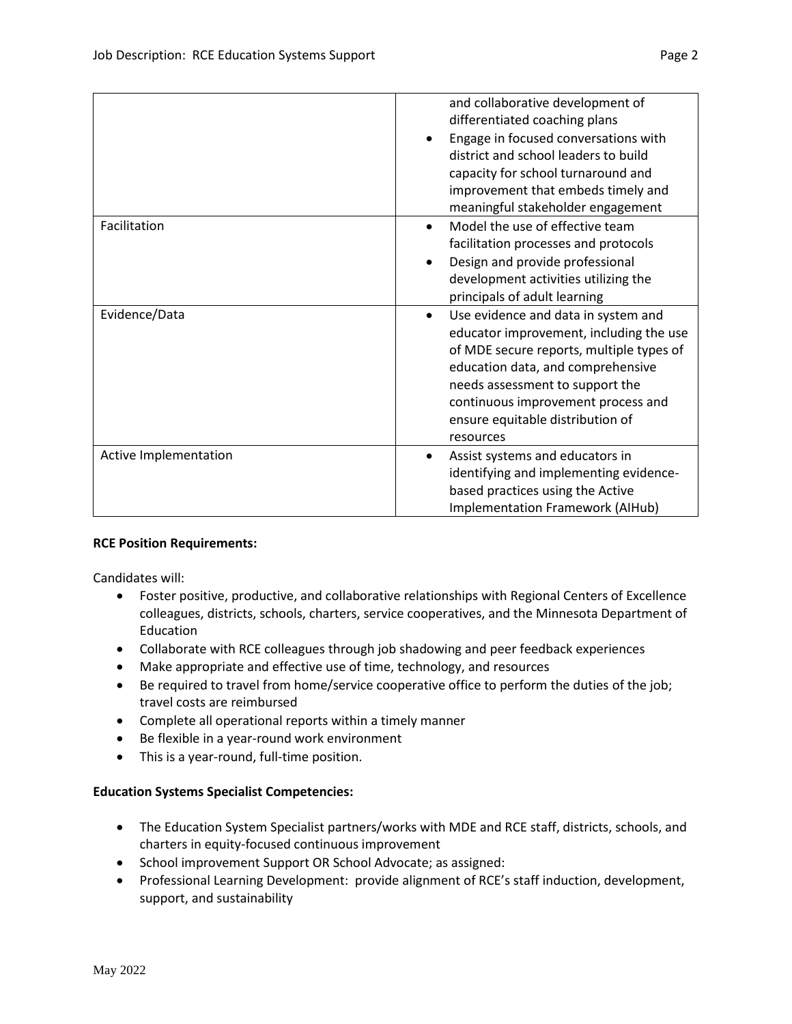|                       | and collaborative development of<br>differentiated coaching plans<br>Engage in focused conversations with<br>district and school leaders to build<br>capacity for school turnaround and<br>improvement that embeds timely and<br>meaningful stakeholder engagement                                     |
|-----------------------|--------------------------------------------------------------------------------------------------------------------------------------------------------------------------------------------------------------------------------------------------------------------------------------------------------|
| Facilitation          | Model the use of effective team<br>facilitation processes and protocols<br>Design and provide professional<br>development activities utilizing the<br>principals of adult learning                                                                                                                     |
| Evidence/Data         | Use evidence and data in system and<br>$\bullet$<br>educator improvement, including the use<br>of MDE secure reports, multiple types of<br>education data, and comprehensive<br>needs assessment to support the<br>continuous improvement process and<br>ensure equitable distribution of<br>resources |
| Active Implementation | Assist systems and educators in<br>identifying and implementing evidence-<br>based practices using the Active<br><b>Implementation Framework (AIHub)</b>                                                                                                                                               |

## **RCE Position Requirements:**

Candidates will:

- Foster positive, productive, and collaborative relationships with Regional Centers of Excellence colleagues, districts, schools, charters, service cooperatives, and the Minnesota Department of Education
- Collaborate with RCE colleagues through job shadowing and peer feedback experiences
- Make appropriate and effective use of time, technology, and resources
- Be required to travel from home/service cooperative office to perform the duties of the job; travel costs are reimbursed
- Complete all operational reports within a timely manner
- Be flexible in a year-round work environment
- This is a year-round, full-time position.

## **Education Systems Specialist Competencies:**

- The Education System Specialist partners/works with MDE and RCE staff, districts, schools, and charters in equity-focused continuous improvement
- School improvement Support OR School Advocate; as assigned:
- Professional Learning Development: provide alignment of RCE's staff induction, development, support, and sustainability